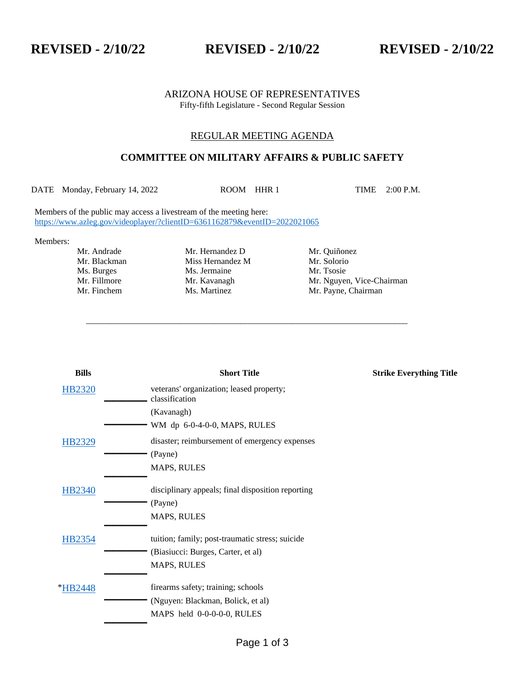**REVISED - 2/10/22 REVISED - 2/10/22 REVISED - 2/10/22**

### ARIZONA HOUSE OF REPRESENTATIVES Fifty-fifth Legislature - Second Regular Session

## REGULAR MEETING AGENDA

# **COMMITTEE ON MILITARY AFFAIRS & PUBLIC SAFETY**

DATE Monday, February 14, 2022 ROOM HHR 1 TIME 2:00 P.M.

\_\_\_\_\_\_\_\_\_\_\_\_\_\_\_\_\_\_\_\_\_\_\_\_\_\_\_\_\_\_\_\_\_\_\_\_\_\_\_\_\_\_\_\_\_\_\_\_\_\_\_\_\_\_\_\_\_\_\_\_\_\_\_\_\_\_\_\_\_\_\_\_\_\_\_

Members of the public may access a livestream of the meeting here: <https://www.azleg.gov/videoplayer/?clientID=6361162879&eventID=2022021065>

Members:

Ms. Burges Ms. Jermaine

Mr. Andrade Mr. Hernandez D Mr. Quiñonez Mr. Blackman Miss Hernandez M Mr. Solorio<br>
Ms. Burges Ms. Jermaine Mr. Tsosie

Mr. Fillmore Mr. Kavanagh Mr. Mguyen, Vice-Chairman Mr. Finchem Ms. Martinez Mr. Payne, Chairman

| <b>Bills</b>  | <b>Short Title</b>                                         | <b>Strike Everything Title</b> |
|---------------|------------------------------------------------------------|--------------------------------|
| <b>HB2320</b> | veterans' organization; leased property;<br>classification |                                |
|               | (Kavanagh)                                                 |                                |
|               | WM dp 6-0-4-0-0, MAPS, RULES                               |                                |
| HB2329        | disaster; reimbursement of emergency expenses              |                                |
|               | (Payne)                                                    |                                |
|               | <b>MAPS, RULES</b>                                         |                                |
| <b>HB2340</b> | disciplinary appeals; final disposition reporting          |                                |
|               | (Payne)                                                    |                                |
|               | <b>MAPS, RULES</b>                                         |                                |
| HB2354        | tuition; family; post-traumatic stress; suicide            |                                |
|               | (Biasiucci: Burges, Carter, et al)                         |                                |
|               | <b>MAPS, RULES</b>                                         |                                |
| *HB2448       | firearms safety; training; schools                         |                                |
|               | (Nguyen: Blackman, Bolick, et al)                          |                                |
|               | MAPS held 0-0-0-0-0, RULES                                 |                                |
|               |                                                            |                                |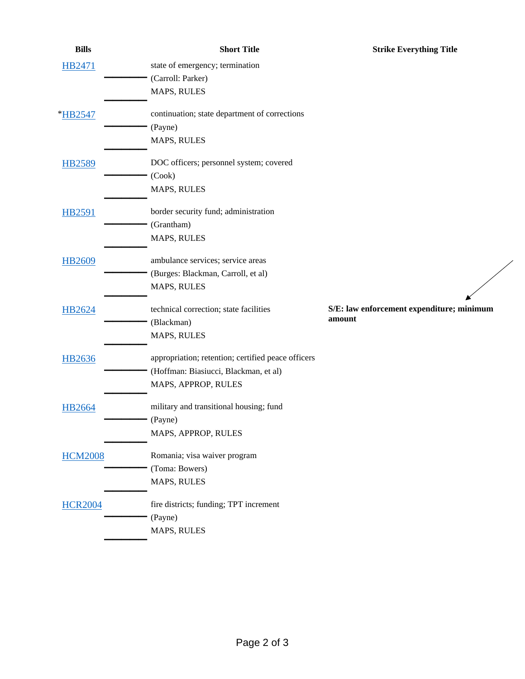| <b>Bills</b>   | <b>Short Title</b>                                 | <b>Strike Everything Title</b>            |
|----------------|----------------------------------------------------|-------------------------------------------|
| HB2471         | state of emergency; termination                    |                                           |
|                | (Carroll: Parker)                                  |                                           |
|                | MAPS, RULES                                        |                                           |
| *HB2547        | continuation; state department of corrections      |                                           |
|                | (Payne)                                            |                                           |
|                | MAPS, RULES                                        |                                           |
| <b>HB2589</b>  | DOC officers; personnel system; covered            |                                           |
|                | (Cook)                                             |                                           |
|                | MAPS, RULES                                        |                                           |
| <b>HB2591</b>  | border security fund; administration               |                                           |
|                | (Grantham)                                         |                                           |
|                | MAPS, RULES                                        |                                           |
| HB2609         | ambulance services; service areas                  |                                           |
|                | (Burges: Blackman, Carroll, et al)                 |                                           |
|                | MAPS, RULES                                        |                                           |
| HB2624         | technical correction; state facilities             | S/E: law enforcement expenditure; minimum |
|                | (Blackman)                                         | amount                                    |
|                | MAPS, RULES                                        |                                           |
| <b>HB2636</b>  | appropriation; retention; certified peace officers |                                           |
|                | (Hoffman: Biasiucci, Blackman, et al)              |                                           |
|                | MAPS, APPROP, RULES                                |                                           |
| <b>HB2664</b>  | military and transitional housing; fund            |                                           |
|                | (Payne)                                            |                                           |
|                | MAPS, APPROP, RULES                                |                                           |
| <b>HCM2008</b> | Romania; visa waiver program                       |                                           |
|                | (Toma: Bowers)                                     |                                           |
|                | MAPS, RULES                                        |                                           |
| <b>HCR2004</b> | fire districts; funding; TPT increment             |                                           |
|                | (Payne)                                            |                                           |
|                | MAPS, RULES                                        |                                           |

 $\diagup$